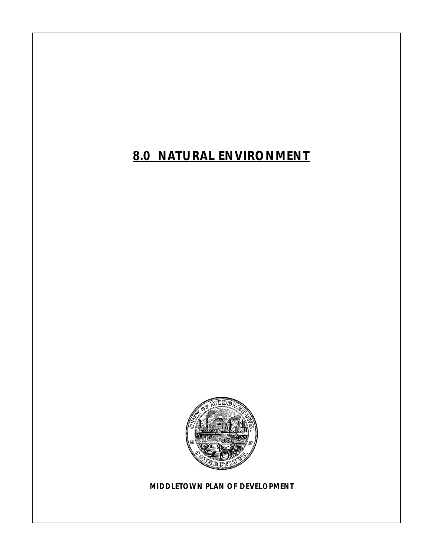*8.0 NATURAL ENVIRONMENT*



*MIDDLETOWN PLAN OF DEVELOPMENT*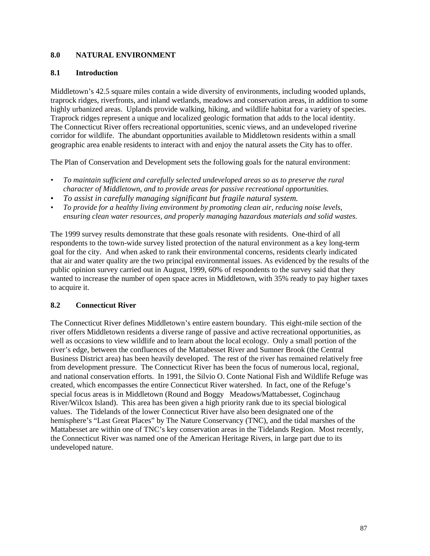#### **8.0 NATURAL ENVIRONMENT**

#### **8.1 Introduction**

Middletown's 42.5 square miles contain a wide diversity of environments, including wooded uplands, traprock ridges, riverfronts, and inland wetlands, meadows and conservation areas, in addition to some highly urbanized areas. Uplands provide walking, hiking, and wildlife habitat for a variety of species. Traprock ridges represent a unique and localized geologic formation that adds to the local identity. The Connecticut River offers recreational opportunities, scenic views, and an undeveloped riverine corridor for wildlife. The abundant opportunities available to Middletown residents within a small geographic area enable residents to interact with and enjoy the natural assets the City has to offer.

The Plan of Conservation and Development sets the following goals for the natural environment:

- *To maintain sufficient and carefully selected undeveloped areas so as to preserve the rural character of Middletown, and to provide areas for passive recreational opportunities.*
- *To assist in carefully managing significant but fragile natural system.*
- *To provide for a healthy living environment by promoting clean air, reducing noise levels, ensuring clean water resources, and properly managing hazardous materials and solid wastes.*

The 1999 survey results demonstrate that these goals resonate with residents. One-third of all respondents to the town-wide survey listed protection of the natural environment as a key long-term goal for the city. And when asked to rank their environmental concerns, residents clearly indicated that air and water quality are the two principal environmental issues. As evidenced by the results of the public opinion survey carried out in August, 1999, 60% of respondents to the survey said that they wanted to increase the number of open space acres in Middletown, with 35% ready to pay higher taxes to acquire it.

#### **8.2 Connecticut River**

The Connecticut River defines Middletown's entire eastern boundary. This eight-mile section of the river offers Middletown residents a diverse range of passive and active recreational opportunities, as well as occasions to view wildlife and to learn about the local ecology. Only a small portion of the river's edge, between the confluences of the Mattabesset River and Sumner Brook (the Central Business District area) has been heavily developed. The rest of the river has remained relatively free from development pressure. The Connecticut River has been the focus of numerous local, regional, and national conservation efforts. In 1991, the Silvio O. Conte National Fish and Wildlife Refuge was created, which encompasses the entire Connecticut River watershed. In fact, one of the Refuge's special focus areas is in Middletown (Round and Boggy Meadows/Mattabesset, Coginchaug River/Wilcox Island). This area has been given a high priority rank due to its special biological values. The Tidelands of the lower Connecticut River have also been designated one of the hemisphere's "Last Great Places" by The Nature Conservancy (TNC), and the tidal marshes of the Mattabesset are within one of TNC's key conservation areas in the Tidelands Region. Most recently, the Connecticut River was named one of the American Heritage Rivers, in large part due to its undeveloped nature.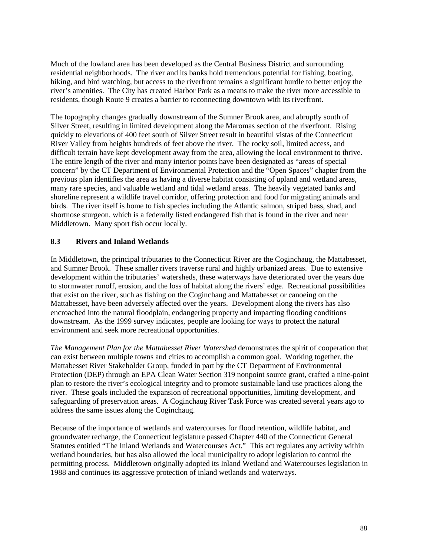Much of the lowland area has been developed as the Central Business District and surrounding residential neighborhoods. The river and its banks hold tremendous potential for fishing, boating, hiking, and bird watching, but access to the riverfront remains a significant hurdle to better enjoy the river's amenities. The City has created Harbor Park as a means to make the river more accessible to residents, though Route 9 creates a barrier to reconnecting downtown with its riverfront.

The topography changes gradually downstream of the Sumner Brook area, and abruptly south of Silver Street, resulting in limited development along the Maromas section of the riverfront. Rising quickly to elevations of 400 feet south of Silver Street result in beautiful vistas of the Connecticut River Valley from heights hundreds of feet above the river. The rocky soil, limited access, and difficult terrain have kept development away from the area, allowing the local environment to thrive. The entire length of the river and many interior points have been designated as "areas of special concern" by the CT Department of Environmental Protection and the "Open Spaces" chapter from the previous plan identifies the area as having a diverse habitat consisting of upland and wetland areas, many rare species, and valuable wetland and tidal wetland areas. The heavily vegetated banks and shoreline represent a wildlife travel corridor, offering protection and food for migrating animals and birds. The river itself is home to fish species including the Atlantic salmon, striped bass, shad, and shortnose sturgeon, which is a federally listed endangered fish that is found in the river and near Middletown. Many sport fish occur locally.

#### **8.3 Rivers and Inland Wetlands**

In Middletown, the principal tributaries to the Connecticut River are the Coginchaug, the Mattabesset, and Sumner Brook. These smaller rivers traverse rural and highly urbanized areas. Due to extensive development within the tributaries' watersheds, these waterways have deteriorated over the years due to stormwater runoff, erosion, and the loss of habitat along the rivers' edge. Recreational possibilities that exist on the river, such as fishing on the Coginchaug and Mattabesset or canoeing on the Mattabesset, have been adversely affected over the years. Development along the rivers has also encroached into the natural floodplain, endangering property and impacting flooding conditions downstream. As the 1999 survey indicates, people are looking for ways to protect the natural environment and seek more recreational opportunities.

*The Management Plan for the Mattabesset River Watershed* demonstrates the spirit of cooperation that can exist between multiple towns and cities to accomplish a common goal. Working together, the Mattabesset River Stakeholder Group, funded in part by the CT Department of Environmental Protection (DEP) through an EPA Clean Water Section 319 nonpoint source grant, crafted a nine-point plan to restore the river's ecological integrity and to promote sustainable land use practices along the river. These goals included the expansion of recreational opportunities, limiting development, and safeguarding of preservation areas. A Coginchaug River Task Force was created several years ago to address the same issues along the Coginchaug.

Because of the importance of wetlands and watercourses for flood retention, wildlife habitat, and groundwater recharge, the Connecticut legislature passed Chapter 440 of the Connecticut General Statutes entitled "The Inland Wetlands and Watercourses Act." This act regulates any activity within wetland boundaries, but has also allowed the local municipality to adopt legislation to control the permitting process. Middletown originally adopted its Inland Wetland and Watercourses legislation in 1988 and continues its aggressive protection of inland wetlands and waterways.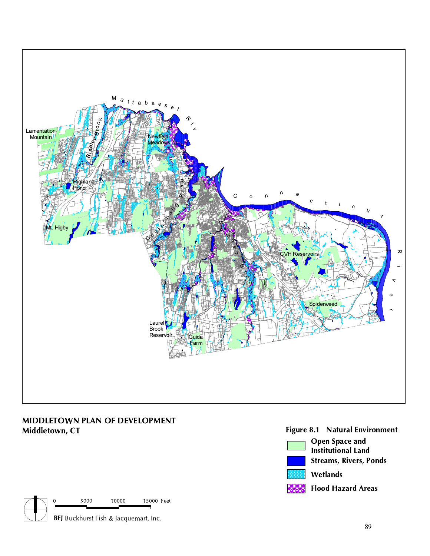

# MIDDLETOWN PLAN OF DEVELOPMENT<br>Middletown, CT



## Figure 8.1 Natural Environment

- Open Space and Institutional Land Streams, Rivers, Ponds Wetlands
- Flood Hazard Areas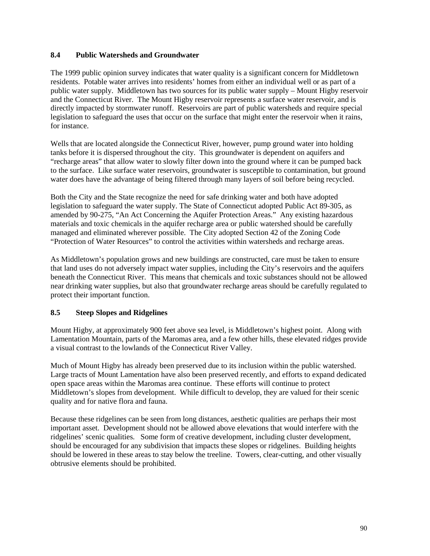#### **8.4 Public Watersheds and Groundwater**

The 1999 public opinion survey indicates that water quality is a significant concern for Middletown residents. Potable water arrives into residents' homes from either an individual well or as part of a public water supply. Middletown has two sources for its public water supply – Mount Higby reservoir and the Connecticut River. The Mount Higby reservoir represents a surface water reservoir, and is directly impacted by stormwater runoff. Reservoirs are part of public watersheds and require special legislation to safeguard the uses that occur on the surface that might enter the reservoir when it rains, for instance.

Wells that are located alongside the Connecticut River, however, pump ground water into holding tanks before it is dispersed throughout the city. This groundwater is dependent on aquifers and "recharge areas" that allow water to slowly filter down into the ground where it can be pumped back to the surface. Like surface water reservoirs, groundwater is susceptible to contamination, but ground water does have the advantage of being filtered through many layers of soil before being recycled.

Both the City and the State recognize the need for safe drinking water and both have adopted legislation to safeguard the water supply. The State of Connecticut adopted Public Act 89-305, as amended by 90-275, "An Act Concerning the Aquifer Protection Areas." Any existing hazardous materials and toxic chemicals in the aquifer recharge area or public watershed should be carefully managed and eliminated wherever possible. The City adopted Section 42 of the Zoning Code "Protection of Water Resources" to control the activities within watersheds and recharge areas.

As Middletown's population grows and new buildings are constructed, care must be taken to ensure that land uses do not adversely impact water supplies, including the City's reservoirs and the aquifers beneath the Connecticut River. This means that chemicals and toxic substances should not be allowed near drinking water supplies, but also that groundwater recharge areas should be carefully regulated to protect their important function.

#### **8.5 Steep Slopes and Ridgelines**

Mount Higby, at approximately 900 feet above sea level, is Middletown's highest point. Along with Lamentation Mountain, parts of the Maromas area, and a few other hills, these elevated ridges provide a visual contrast to the lowlands of the Connecticut River Valley.

Much of Mount Higby has already been preserved due to its inclusion within the public watershed. Large tracts of Mount Lamentation have also been preserved recently, and efforts to expand dedicated open space areas within the Maromas area continue. These efforts will continue to protect Middletown's slopes from development. While difficult to develop, they are valued for their scenic quality and for native flora and fauna.

Because these ridgelines can be seen from long distances, aesthetic qualities are perhaps their most important asset. Development should not be allowed above elevations that would interfere with the ridgelines' scenic qualities. Some form of creative development, including cluster development, should be encouraged for any subdivision that impacts these slopes or ridgelines. Building heights should be lowered in these areas to stay below the treeline. Towers, clear-cutting, and other visually obtrusive elements should be prohibited.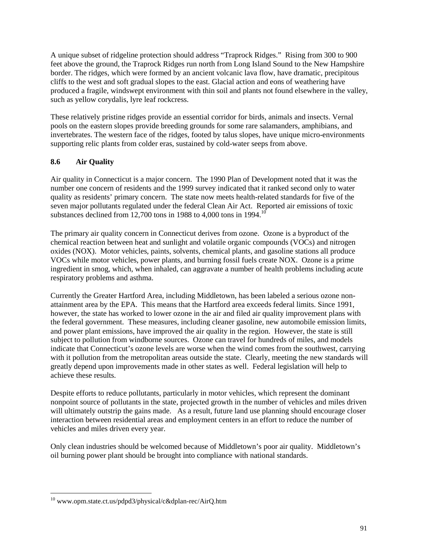A unique subset of ridgeline protection should address "Traprock Ridges." Rising from 300 to 900 feet above the ground, the Traprock Ridges run north from Long Island Sound to the New Hampshire border. The ridges, which were formed by an ancient volcanic lava flow, have dramatic, precipitous cliffs to the west and soft gradual slopes to the east. Glacial action and eons of weathering have produced a fragile, windswept environment with thin soil and plants not found elsewhere in the valley, such as yellow corydalis, lyre leaf rockcress.

These relatively pristine ridges provide an essential corridor for birds, animals and insects. Vernal pools on the eastern slopes provide breeding grounds for some rare salamanders, amphibians, and invertebrates. The western face of the ridges, footed by talus slopes, have unique micro-environments supporting relic plants from colder eras, sustained by cold-water seeps from above.

### **8.6 Air Quality**

Air quality in Connecticut is a major concern. The 1990 Plan of Development noted that it was the number one concern of residents and the 1999 survey indicated that it ranked second only to water quality as residents' primary concern. The state now meets health-related standards for five of the seven major pollutants regulated under the federal Clean Air Act. Reported air emissions of toxic substances declined from 12,700 tons in 1988 to 4,000 tons in 1994.<sup>10</sup>

The primary air quality concern in Connecticut derives from ozone. Ozone is a byproduct of the chemical reaction between heat and sunlight and volatile organic compounds (VOCs) and nitrogen oxides (NOX). Motor vehicles, paints, solvents, chemical plants, and gasoline stations all produce VOCs while motor vehicles, power plants, and burning fossil fuels create NOX. Ozone is a prime ingredient in smog, which, when inhaled, can aggravate a number of health problems including acute respiratory problems and asthma.

Currently the Greater Hartford Area, including Middletown, has been labeled a serious ozone nonattainment area by the EPA. This means that the Hartford area exceeds federal limits. Since 1991, however, the state has worked to lower ozone in the air and filed air quality improvement plans with the federal government. These measures, including cleaner gasoline, new automobile emission limits, and power plant emissions, have improved the air quality in the region. However, the state is still subject to pollution from windborne sources. Ozone can travel for hundreds of miles, and models indicate that Connecticut's ozone levels are worse when the wind comes from the southwest, carrying with it pollution from the metropolitan areas outside the state. Clearly, meeting the new standards will greatly depend upon improvements made in other states as well. Federal legislation will help to achieve these results.

Despite efforts to reduce pollutants, particularly in motor vehicles, which represent the dominant nonpoint source of pollutants in the state, projected growth in the number of vehicles and miles driven will ultimately outstrip the gains made. As a result, future land use planning should encourage closer interaction between residential areas and employment centers in an effort to reduce the number of vehicles and miles driven every year.

Only clean industries should be welcomed because of Middletown's poor air quality. Middletown's oil burning power plant should be brought into compliance with national standards.

 $\overline{a}$ 

<sup>10</sup> www.opm.state.ct.us/pdpd3/physical/c&dplan-rec/AirQ.htm